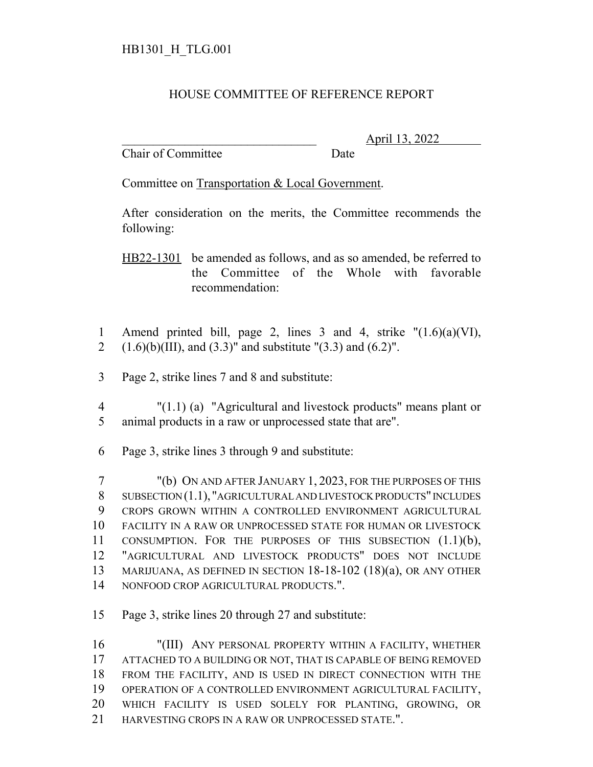## HOUSE COMMITTEE OF REFERENCE REPORT

Chair of Committee Date

\_\_\_\_\_\_\_\_\_\_\_\_\_\_\_\_\_\_\_\_\_\_\_\_\_\_\_\_\_\_\_ April 13, 2022

Committee on Transportation & Local Government.

After consideration on the merits, the Committee recommends the following:

HB22-1301 be amended as follows, and as so amended, be referred to the Committee of the Whole with favorable recommendation:

- Amend printed bill, page 2, lines 3 and 4, strike "(1.6)(a)(VI), 2  $(1.6)(b)(III)$ , and  $(3.3)$ " and substitute " $(3.3)$  and  $(6.2)$ ".
- Page 2, strike lines 7 and 8 and substitute:
- "(1.1) (a) "Agricultural and livestock products" means plant or animal products in a raw or unprocessed state that are".
- Page 3, strike lines 3 through 9 and substitute:

 "(b) ON AND AFTER JANUARY 1, 2023, FOR THE PURPOSES OF THIS SUBSECTION (1.1), "AGRICULTURAL AND LIVESTOCK PRODUCTS" INCLUDES CROPS GROWN WITHIN A CONTROLLED ENVIRONMENT AGRICULTURAL FACILITY IN A RAW OR UNPROCESSED STATE FOR HUMAN OR LIVESTOCK CONSUMPTION. FOR THE PURPOSES OF THIS SUBSECTION (1.1)(b), "AGRICULTURAL AND LIVESTOCK PRODUCTS" DOES NOT INCLUDE MARIJUANA, AS DEFINED IN SECTION 18-18-102 (18)(a), OR ANY OTHER NONFOOD CROP AGRICULTURAL PRODUCTS.".

Page 3, strike lines 20 through 27 and substitute:

 "(III) ANY PERSONAL PROPERTY WITHIN A FACILITY, WHETHER 17 ATTACHED TO A BUILDING OR NOT, THAT IS CAPABLE OF BEING REMOVED FROM THE FACILITY, AND IS USED IN DIRECT CONNECTION WITH THE OPERATION OF A CONTROLLED ENVIRONMENT AGRICULTURAL FACILITY, WHICH FACILITY IS USED SOLELY FOR PLANTING, GROWING, OR HARVESTING CROPS IN A RAW OR UNPROCESSED STATE.".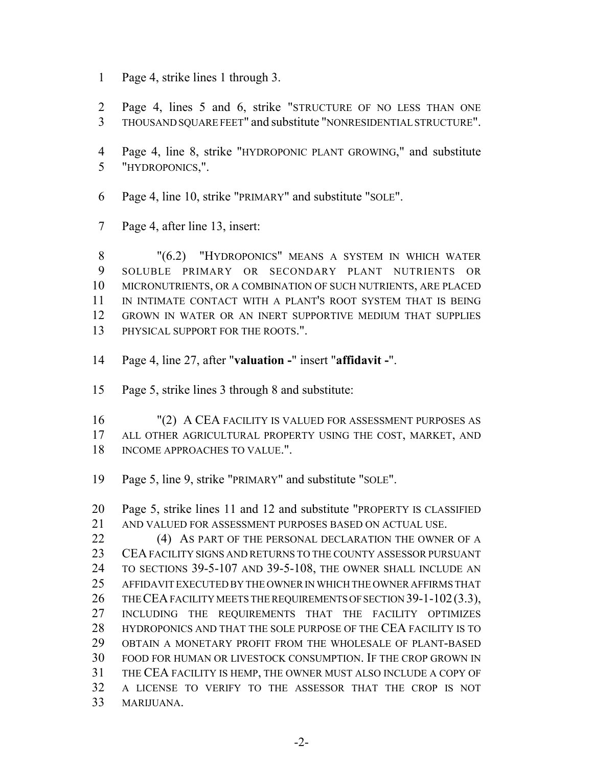- Page 4, strike lines 1 through 3.
- Page 4, lines 5 and 6, strike "STRUCTURE OF NO LESS THAN ONE THOUSAND SQUARE FEET" and substitute "NONRESIDENTIAL STRUCTURE".
- Page 4, line 8, strike "HYDROPONIC PLANT GROWING," and substitute "HYDROPONICS,".
- Page 4, line 10, strike "PRIMARY" and substitute "SOLE".
- Page 4, after line 13, insert:

 "(6.2) "HYDROPONICS" MEANS A SYSTEM IN WHICH WATER SOLUBLE PRIMARY OR SECONDARY PLANT NUTRIENTS OR MICRONUTRIENTS, OR A COMBINATION OF SUCH NUTRIENTS, ARE PLACED IN INTIMATE CONTACT WITH A PLANT'S ROOT SYSTEM THAT IS BEING GROWN IN WATER OR AN INERT SUPPORTIVE MEDIUM THAT SUPPLIES 13 PHYSICAL SUPPORT FOR THE ROOTS.".

- Page 4, line 27, after "**valuation -**" insert "**affidavit -**".
- Page 5, strike lines 3 through 8 and substitute:

 "(2) A CEA FACILITY IS VALUED FOR ASSESSMENT PURPOSES AS ALL OTHER AGRICULTURAL PROPERTY USING THE COST, MARKET, AND 18 INCOME APPROACHES TO VALUE.".

Page 5, line 9, strike "PRIMARY" and substitute "SOLE".

 Page 5, strike lines 11 and 12 and substitute "PROPERTY IS CLASSIFIED AND VALUED FOR ASSESSMENT PURPOSES BASED ON ACTUAL USE.

22 (4) AS PART OF THE PERSONAL DECLARATION THE OWNER OF A CEA FACILITY SIGNS AND RETURNS TO THE COUNTY ASSESSOR PURSUANT TO SECTIONS 39-5-107 AND 39-5-108, THE OWNER SHALL INCLUDE AN AFFIDAVIT EXECUTED BY THE OWNER IN WHICH THE OWNER AFFIRMS THAT 26 THE CEA FACILITY MEETS THE REQUIREMENTS OF SECTION 39-1-102(3.3), INCLUDING THE REQUIREMENTS THAT THE FACILITY OPTIMIZES HYDROPONICS AND THAT THE SOLE PURPOSE OF THE CEA FACILITY IS TO OBTAIN A MONETARY PROFIT FROM THE WHOLESALE OF PLANT-BASED FOOD FOR HUMAN OR LIVESTOCK CONSUMPTION. IF THE CROP GROWN IN THE CEA FACILITY IS HEMP, THE OWNER MUST ALSO INCLUDE A COPY OF A LICENSE TO VERIFY TO THE ASSESSOR THAT THE CROP IS NOT MARIJUANA.